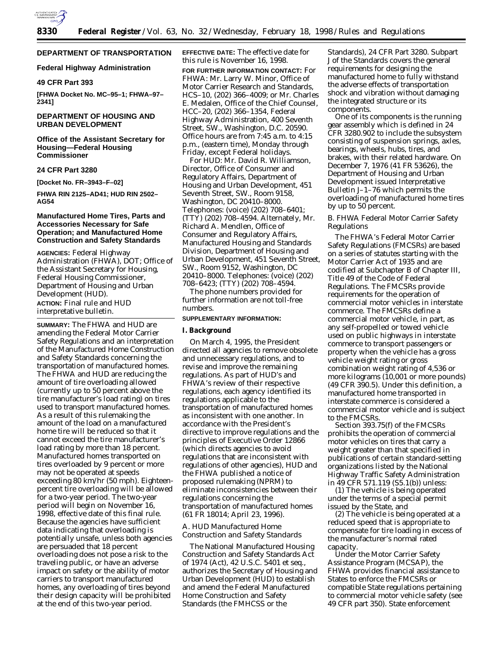

# **DEPARTMENT OF TRANSPORTATION**

#### **Federal Highway Administration**

# **49 CFR Part 393**

**[FHWA Docket No. MC–95–1; FHWA–97– 2341]**

# **DEPARTMENT OF HOUSING AND URBAN DEVELOPMENT**

**Office of the Assistant Secretary for Housing—Federal Housing Commissioner**

### **24 CFR Part 3280**

**[Docket No. FR–3943–F–02]**

**FHWA RIN 2125–AD41; HUD RIN 2502– AG54**

## **Manufactured Home Tires, Parts and Accessories Necessary for Safe Operation; and Manufactured Home Construction and Safety Standards**

**AGENCIES:** Federal Highway Administration (FHWA), DOT; Office of the Assistant Secretary for Housing, Federal Housing Commissioner, Department of Housing and Urban Development (HUD). **ACTION:** Final rule and HUD interpretative bulletin.

**SUMMARY:** The FHWA and HUD are amending the Federal Motor Carrier Safety Regulations and an interpretation of the Manufactured Home Construction and Safety Standards concerning the transportation of manufactured homes. The FHWA and HUD are reducing the amount of tire overloading allowed (currently up to 50 percent above the tire manufacturer's load rating) on tires used to transport manufactured homes. As a result of this rulemaking the amount of the load on a manufactured home tire will be reduced so that it cannot exceed the tire manufacturer's load rating by more than 18 percent. Manufactured homes transported on tires overloaded by 9 percent or more may not be operated at speeds exceeding 80 km/hr (50 mph). Eighteenpercent tire overloading will be allowed for a two-year period. The two-year period will begin on November 16, 1998, effective date of this final rule. Because the agencies have sufficient data indicating that overloading is potentially unsafe, unless both agencies are persuaded that 18 percent overloading does not pose a risk to the traveling public, or have an adverse impact on safety or the ability of motor carriers to transport manufactured homes, any overloading of tires beyond their design capacity will be prohibited at the end of this two-year period.

**EFFECTIVE DATE:** The effective date for this rule is November 16, 1998. **FOR FURTHER INFORMATION CONTACT:** For FHWA: Mr. Larry W. Minor, Office of Motor Carrier Research and Standards, HCS–10, (202) 366–4009; or Mr. Charles E. Medalen, Office of the Chief Counsel, HCC–20, (202) 366–1354, Federal Highway Administration, 400 Seventh Street, SW., Washington, D.C. 20590. Office hours are from 7:45 a.m. to 4:15 p.m., (eastern time), Monday through Friday, except Federal holidays.

For HUD: Mr. David R. Williamson, Director, Office of Consumer and Regulatory Affairs, Department of Housing and Urban Development, 451 Seventh Street, SW., Room 9158, Washington, DC 20410–8000. Telephones: (voice) (202) 708–6401; (TTY) (202) 708–4594. Alternately, Mr. Richard A. Mendlen, Office of Consumer and Regulatory Affairs, Manufactured Housing and Standards Division, Department of Housing and Urban Development, 451 Seventh Street, SW., Room 9152, Washington, DC 20410–8000. Telephones: (voice) (202) 708–6423; (TTY) (202) 708–4594.

The phone numbers provided for further information are not toll-free numbers.

#### **SUPPLEMENTARY INFORMATION:**

#### **I. Background**

On March 4, 1995, the President directed all agencies to remove obsolete and unnecessary regulations, and to revise and improve the remaining regulations. As part of HUD's and FHWA's review of their respective regulations, each agency identified its regulations applicable to the transportation of manufactured homes as inconsistent with one another. In accordance with the President's directive to improve regulations and the principles of Executive Order 12866 (which directs agencies to avoid regulations that are inconsistent with regulations of other agencies), HUD and the FHWA published a notice of proposed rulemaking (NPRM) to eliminate inconsistencies between their regulations concerning the transportation of manufactured homes (61 FR 18014; April 23, 1996).

## *A. HUD Manufactured Home Construction and Safety Standards*

The National Manufactured Housing Construction and Safety Standards Act of 1974 (Act), 42 U.S.C. 5401 *et seq.*, authorizes the Secretary of Housing and Urban Development (HUD) to establish and amend the Federal Manufactured Home Construction and Safety Standards (the FMHCSS or the

Standards), 24 CFR Part 3280. Subpart J of the Standards covers the general requirements for designing the manufactured home to fully withstand the adverse effects of transportation shock and vibration without damaging the integrated structure or its components.

One of its components is the running gear assembly which is defined in 24 CFR 3280.902 to include the subsystem consisting of suspension springs, axles, bearings, wheels, hubs, tires, and brakes, with their related hardware. On December 7, 1976 (41 FR 53626), the Department of Housing and Urban Development issued Interpretative Bulletin J–1–76 which permits the overloading of manufactured home tires by up to 50 percent.

### *B. FHWA Federal Motor Carrier Safety Regulations*

The FHWA's Federal Motor Carrier Safety Regulations (FMCSRs) are based on a series of statutes starting with the Motor Carrier Act of 1935 and are codified at Subchapter B of Chapter III, Title 49 of the Code of Federal Regulations. The FMCSRs provide requirements for the operation of commercial motor vehicles in interstate commerce. The FMCSRs define a commercial motor vehicle, in part, as any self-propelled or towed vehicle used on public highways in interstate commerce to transport passengers or property when the vehicle has a gross vehicle weight rating or gross combination weight rating of 4,536 or more kilograms (10,001 or more pounds) (49 CFR 390.5). Under this definition, a manufactured home transported in interstate commerce is considered a commercial motor vehicle and is subject to the FMCSRs.

Section 393.75(f) of the FMCSRs prohibits the operation of commercial motor vehicles on tires that carry a weight greater than that specified in publications of certain standard-setting organizations listed by the National Highway Traffic Safety Administration in 49 CFR 571.119 (S5.1(b)) unless:

(1) The vehicle is being operated under the terms of a special permit issued by the State, and

(2) The vehicle is being operated at a reduced speed that is appropriate to compensate for tire loading in excess of the manufacturer's normal rated capacity.

Under the Motor Carrier Safety Assistance Program (MCSAP), the FHWA provides financial assistance to States to enforce the FMCSRs or compatible State regulations pertaining to commercial motor vehicle safety (see 49 CFR part 350). State enforcement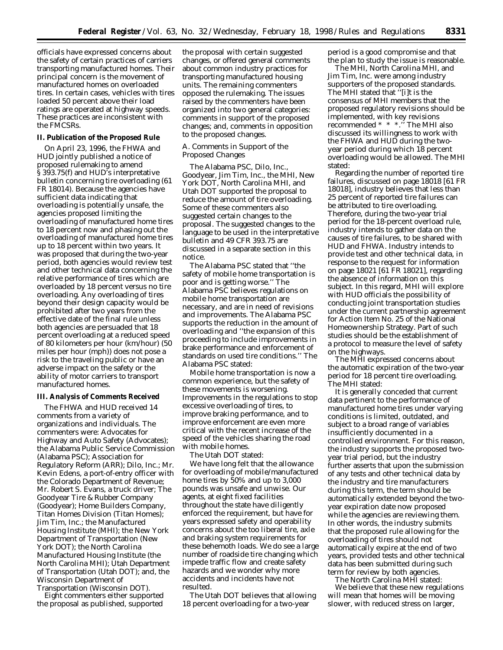officials have expressed concerns about the safety of certain practices of carriers transporting manufactured homes. Their principal concern is the movement of manufactured homes on overloaded tires. In certain cases, vehicles with tires loaded 50 percent above their load ratings are operated at highway speeds. These practices are inconsistent with the FMCSRs.

#### **II. Publication of the Proposed Rule**

On April 23, 1996, the FHWA and HUD jointly published a notice of proposed rulemaking to amend § 393.75(f) and HUD's interpretative bulletin concerning tire overloading (61 FR 18014). Because the agencies have sufficient data indicating that overloading is potentially unsafe, the agencies proposed limiting the overloading of manufactured home tires to 18 percent now and phasing out the overloading of manufactured home tires up to 18 percent within two years. It was proposed that during the two-year period, both agencies would review test and other technical data concerning the relative performance of tires which are overloaded by 18 percent versus no tire overloading. Any overloading of tires beyond their design capacity would be prohibited after two years from the effective date of the final rule unless both agencies are persuaded that 18 percent overloading at a reduced speed of 80 kilometers per hour (km/hour) (50 miles per hour (mph)) does not pose a risk to the traveling public or have an adverse impact on the safety or the ability of motor carriers to transport manufactured homes.

#### **III. Analysis of Comments Received**

The FHWA and HUD received 14 comments from a variety of organizations and individuals. The commenters were: Advocates for Highway and Auto Safety (Advocates); the Alabama Public Service Commission (Alabama PSC); Association for Regulatory Reform (ARR); Dilo, Inc.; Mr. Kevin Edens, a port-of-entry officer with the Colorado Department of Revenue; Mr. Robert S. Evans, a truck driver; The Goodyear Tire & Rubber Company (Goodyear); Home Builders Company, Titan Homes Division (Titan Homes); Jim Tim, Inc.; the Manufactured Housing Institute (MHI); the New York Department of Transportation (New York DOT); the North Carolina Manufactured Housing Institute (the North Carolina MHI); Utah Department of Transportation (Utah DOT); and, the Wisconsin Department of

Transportation (Wisconsin DOT). Eight commenters either supported the proposal as published, supported

the proposal with certain suggested changes, or offered general comments about common industry practices for transporting manufactured housing units. The remaining commenters opposed the rulemaking. The issues raised by the commenters have been organized into two general categories: comments in support of the proposed changes; and, comments in opposition to the proposed changes.

## *A. Comments in Support of the Proposed Changes*

The Alabama PSC, Dilo, Inc., Goodyear, Jim Tim, Inc., the MHI, New York DOT, North Carolina MHI, and Utah DOT supported the proposal to reduce the amount of tire overloading. Some of these commenters also suggested certain changes to the proposal. The suggested changes to the language to be used in the interpretative bulletin and 49 CFR 393.75 are discussed in a separate section in this notice.

The Alabama PSC stated that ''the safety of mobile home transportation is poor and is getting worse.'' The Alabama PSC believes regulations on mobile home transportation are necessary, and are in need of revisions and improvements. The Alabama PSC supports the reduction in the amount of overloading and ''the expansion of this proceeding to include improvements in brake performance and enforcement of standards on used tire conditions.'' The Alabama PSC stated:

Mobile home transportation is now a common experience, but the safety of these movements is worsening. Improvements in the regulations to stop excessive overloading of tires, to improve braking performance, and to improve enforcement are even more critical with the recent increase of the speed of the vehicles sharing the road with mobile homes.

The Utah DOT stated:

We have long felt that the allowance for overloading of mobile/manufactured home tires by 50% and up to 3,000 pounds was unsafe and unwise. Our agents, at eight fixed facilities throughout the state have diligently enforced the requirement, but have for years expressed safety and operability concerns about the too liberal tire, axle and braking system requirements for these behemoth loads. We do see a large number of roadside tire changing which impede traffic flow and create safety hazards and we wonder why more accidents and incidents have not resulted.

The Utah DOT believes that allowing 18 percent overloading for a two-year

period is a good compromise and that the plan to study the issue is reasonable.

The MHI, North Carolina MHI, and Jim Tim, Inc. were among industry supporters of the proposed standards. The MHI stated that ''[i]t is the consensus of MHI members that the proposed regulatory revisions should be implemented, with key revisions recommended \* \* \*.'' The MHI also discussed its willingness to work with the FHWA and HUD during the twoyear period during which 18 percent overloading would be allowed. The MHI stated:

Regarding the number of reported tire failures, discussed on page 18018 [61 FR 18018], industry believes that less than 25 percent of reported tire failures can be attributed to tire overloading. Therefore, during the two-year trial period for the 18-percent overload rule, industry intends to gather data on the causes of tire failures, to be shared with HUD and FHWA. Industry intends to provide test and other technical data, in response to the request for information on page 18021 [61 FR 18021], regarding the absence of information on this subject. In this regard, MHI will explore with HUD officials the possibility of conducting joint transportation studies under the current partnership agreement for Action Item No. 25 of the National Homeownership Strategy. Part of such studies should be the establishment of a protocol to measure the level of safety on the highways.

The MHI expressed concerns about the automatic expiration of the two-year period for 18 percent tire overloading. The MHI stated:

It is generally conceded that current data pertinent to the performance of manufactured home tires under varying conditions is limited, outdated, and subject to a broad range of variables insufficiently documented in a controlled environment. For this reason, the industry supports the proposed twoyear trial period, but the industry further asserts that upon the submission of any tests and other technical data by the industry and tire manufacturers during this term, the term should be automatically extended beyond the twoyear expiration date now proposed while the agencies are reviewing them. In other words, the industry submits that the proposed rule allowing for the overloading of tires should not automatically expire at the end of two years, provided tests and other technical data has been submitted during such term for review by both agencies.

The North Carolina MHI stated: We believe that these new regulations will mean that homes will be moving slower, with reduced stress on larger,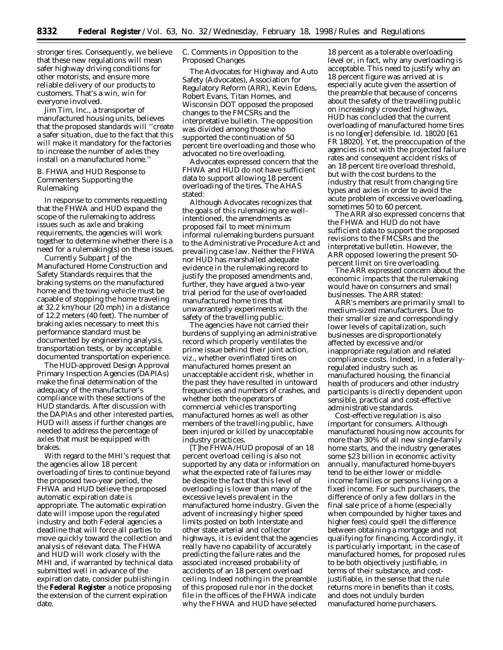stronger tires. Consequently, we believe that these new regulations will mean safer highway driving conditions for other motorists, and ensure more reliable delivery of our products to customers. That's a win, win for everyone involved.

Jim Tim, Inc., a transporter of manufactured housing units, believes that the proposed standards will ''create a safer situation, due to the fact that this will make it mandatory for the factories to increase the number of axles they install on a manufactured home.''

## *B. FHWA and HUD Response to Commenters Supporting the Rulemaking*

In response to comments requesting that the FHWA and HUD expand the scope of the rulemaking to address issues such as axle and braking requirements, the agencies will work together to determine whether there is a need for a rulemaking(s) on these issues.

Currently Subpart J of the Manufactured Home Construction and Safety Standards requires that the braking systems on the manufactured home and the towing vehicle must be capable of stopping the home traveling at 32.2 km/hour (20 mph) in a distance of 12.2 meters (40 feet). The number of braking axles necessary to meet this performance standard must be documented by engineering analysis, transportation tests, or by acceptable documented transportation experience.

The HUD-approved Design Approval Primary Inspection Agencies (DAPIAs) make the final determination of the adequacy of the manufacturer's compliance with these sections of the HUD standards. After discussion with the DAPIAs and other interested parties, HUD will assess if further changes are needed to address the percentage of axles that must be equipped with brakes.

With regard to the MHI's request that the agencies allow 18 percent overloading of tires to continue beyond the proposed two-year period, the FHWA and HUD believe the proposed automatic expiration date is appropriate. The automatic expiration date will impose upon the regulated industry and both Federal agencies a deadline that will force all parties to move quickly toward the collection and analysis of relevant data. The FHWA and HUD will work closely with the MHI and, if warranted by technical data submitted well in advance of the expiration date, consider publishing in the **Federal Register** a notice proposing the extension of the current expiration date.

## *C. Comments in Opposition to the Proposed Changes*

The Advocates for Highway and Auto Safety (Advocates), Association for Regulatory Reform (ARR), Kevin Edens, Robert Evans, Titan Homes, and Wisconsin DOT opposed the proposed changes to the FMCSRs and the interpretative bulletin. The opposition was divided among those who supported the continuation of 50 percent tire overloading and those who advocated no tire overloading.

Advocates expressed concern that the FHWA and HUD do not have sufficient data to support allowing 18 percent overloading of the tires. The AHAS stated:

Although Advocates recognizes that the goals of this rulemaking are wellintentioned, the amendments as proposed fail to meet minimum informal rulemaking burdens pursuant to the Administrative Procedure Act and prevailing case law. Neither the FHWA nor HUD has marshalled adequate evidence in the rulemaking record to justify the proposed amendments and, further, they have argued a two-year trial period for the use of overloaded manufactured home tires that unwarrantedly experiments with the safety of the travelling public.

The agencies have not carried their burdens of supplying an administrative record which properly ventilates the prime issue behind their joint action, *viz.,* whether overinflated tires on manufactured homes present an unacceptable accident risk, whether in the past they have resulted in untoward frequencies and numbers of crashes, and whether both the operators of commercial vehicles transporting manufactured homes as well as other members of the travelling public, have been injured or killed by unacceptable industry practices.

[T]he FHWA/HUD proposal of an 18 percent overload ceiling is also not supported by any data or information on what the expected rate of failures may be despite the fact that this level of overloading is lower than many of the excessive levels prevalent in the manufactured home industry. Given the advent of increasingly higher speed limits posted on both Interstate and other state arterial and collector highways, it is evident that the agencies really have no capability of accurately predicting the failure rates and the associated increased probability of accidents of an 18 percent overload ceiling. Indeed nothing in the preamble of this proposed rule nor in the docket file in the offices of the FHWA indicate why the FHWA and HUD have selected

18 percent as a tolerable overloading level or, in fact, why any overloading is acceptable. This need to justify why an 18 percent figure was arrived at is especially acute given the assertion of the preamble that because of concerns about the safety of the travelling public on increasingly crowded highways, HUD has concluded that the current overloading of manufactured home tires is no long[er] defensible. *Id.* 18020 [61 FR 18020]. Yet, the preoccupation of the agencies is not with the projected failure rates and consequent accident risks of an 18 percent tire overload threshold, but with the cost burdens to the industry that result from changing tire types and axles in order to avoid the acute problem of excessive overloading, sometimes 50 to 60 percent.

The ARR also expressed concerns that the FHWA and HUD do not have sufficient data to support the proposed revisions to the FMCSRs and the interpretative bulletin. However, the ARR opposed lowering the present 50 percent limit on tire overloading.

The ARR expressed concern about the economic impacts that the rulemaking would have on consumers and small businesses. The ARR stated:

ARR's members are primarily small to medium-sized manufacturers. Due to their smaller size and correspondingly lower levels of capitalization, such businesses are disproportionately affected by excessive and/or inappropriate regulation and related compliance costs. Indeed, in a federallyregulated industry such as manufactured housing, the financial health of producers and other industry participants is directly dependent upon sensible, practical and cost-effective administrative standards.

Cost-effective regulation is also important for consumers. Although manufactured housing now accounts for more than 30% of all new single-family home starts, and the industry generates some \$23 billion in economic activity annually, manufactured home-buyers tend to be either lower or middleincome families or persons living on a fixed income. For such purchasers, the difference of only a few dollars in the final sale price of a home (especially when compounded by higher taxes and higher fees) could spell the difference between obtaining a mortgage and not qualifying for financing. Accordingly, it is particularly important, in the case of manufactured homes, for proposed rules to be both objectively justifiable, in terms of their substance, and costjustifiable, in the sense that the rule returns more in benefits than it costs, and does not unduly burden manufactured home purchasers.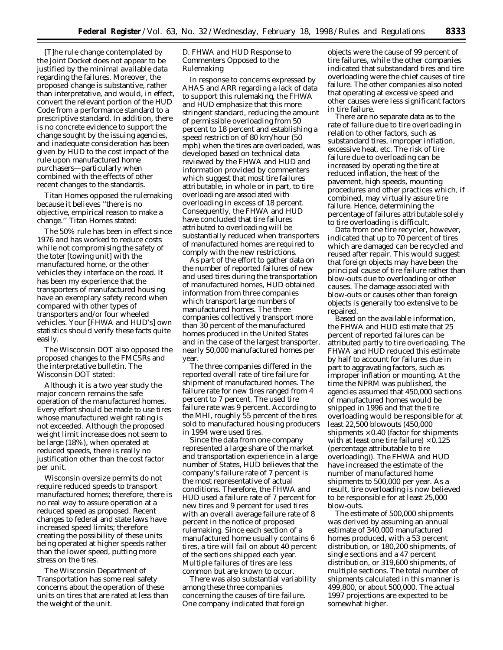[T]he rule change contemplated by the Joint Docket does not appear to be justified by the minimal available data regarding the failures. Moreover, the proposed change is substantive, rather than interpretative, and would, in effect, convert the relevant portion of the HUD Code from a performance standard to a prescriptive standard. In addition, there is no concrete evidence to support the change sought by the issuing agencies, and inadequate consideration has been given by HUD to the cost impact of the rule upon manufactured home purchasers—particularly when combined with the effects of other recent changes to the standards.

Titan Homes opposed the rulemaking because it believes ''there is no objective, empirical reason to make a change.'' Titan Homes stated:

The 50% rule has been in effect since 1976 and has worked to reduce costs while not compromising the safety of the toter [towing unit] with the manufactured home, or the other vehicles they interface on the road. It has been my experience that the transporters of manufactured housing have an exemplary safety record when compared with other types of transporters and/or four wheeled vehicles. Your [FHWA and HUD's] own statistics should verify these facts quite easily.

The Wisconsin DOT also opposed the proposed changes to the FMCSRs and the interpretative bulletin. The Wisconsin DOT stated:

Although it is a two year study the major concern remains the safe operation of the manufactured homes. Every effort should be made to use tires whose manufactured weight rating is not exceeded. Although the proposed weight limit increase does not seem to be large (18%), when operated at reduced speeds, there is really no justification other than the cost factor per unit.

Wisconsin oversize permits do not require reduced speeds to transport manufactured homes; therefore, there is no real way to assure operation at a reduced speed as proposed. Recent changes to federal and state laws have increased speed limits; therefore creating the possibility of these units being operated at higher speeds rather than the lower speed, putting more stress on the tires.

The Wisconsin Department of Transportation has some real safety concerns about the operation of these units on tires that are rated at less than the weight of the unit.

# *D. FHWA and HUD Response to Commenters Opposed to the Rulemaking*

In response to concerns expressed by AHAS and ARR regarding a lack of data to support this rulemaking, the FHWA and HUD emphasize that this more stringent standard, reducing the amount of permissible overloading from 50 percent to 18 percent and establishing a speed restriction of 80 km/hour (50 mph) when the tires are overloaded, was developed based on technical data reviewed by the FHWA and HUD and information provided by commenters which suggest that most tire failures attributable, in whole or in part, to tire overloading are associated with overloading in excess of 18 percent. Consequently, the FHWA and HUD have concluded that tire failures attributed to overloading will be substantially reduced when transporters of manufactured homes are required to comply with the new restrictions.

As part of the effort to gather data on the number of reported failures of new and used tires during the transportation of manufactured homes, HUD obtained information from three companies which transport large numbers of manufactured homes. The three companies collectively transport more than 30 percent of the manufactured homes produced in the United States and in the case of the largest transporter, nearly 50,000 manufactured homes per year.

The three companies differed in the reported overall rate of tire failure for shipment of manufactured homes. The failure rate for new tires ranged from 4 percent to 7 percent. The used tire failure rate was 9 percent. According to the MHI, roughly 55 percent of the tires sold to manufactured housing producers in 1994 were used tires.

Since the data from one company represented a large share of the market and transportation experience in a large number of States, HUD believes that the company's failure rate of 7 percent is the most representative of actual conditions. Therefore, the FHWA and HUD used a failure rate of 7 percent for new tires and 9 percent for used tires with an overall average failure rate of 8 percent in the notice of proposed rulemaking. Since each section of a manufactured home usually contains 6 tires, a tire will fail on about 40 percent of the sections shipped each year. Multiple failures of tires are less common but are known to occur.

There was also substantial variability among these three companies concerning the causes of tire failure. One company indicated that foreign

objects were the cause of 99 percent of tire failures, while the other companies indicated that substandard tires and tire overloading were the chief causes of tire failure. The other companies also noted that operating at excessive speed and other causes were less significant factors in tire failure.

There are no separate data as to the rate of failure due to tire overloading in relation to other factors, such as substandard tires, improper inflation, excessive heat, etc. The risk of tire failure due to overloading can be increased by operating the tire at reduced inflation, the heat of the pavement, high speeds, mounting procedures and other practices which, if combined, may virtually assure tire failure. Hence, determining the percentage of failures attributable solely to tire overloading is difficult.

Data from one tire recycler, however, indicated that up to 70 percent of tires which are damaged can be recycled and reused after repair. This would suggest that foreign objects may have been the principal cause of tire failure rather than blow-outs due to overloading or other causes. The damage associated with blow-outs or causes other than foreign objects is generally too extensive to be repaired.

Based on the available information, the FHWA and HUD estimate that 25 percent of reported failures can be attributed partly to tire overloading. The FHWA and HUD reduced this estimate by half to account for failures due in part to aggravating factors, such as improper inflation or mounting. At the time the NPRM was published, the agencies assumed that 450,000 sections of manufactured homes would be shipped in 1996 and that the tire overloading would be responsible for at least 22,500 blowouts (450,000 shipments  $\times$  0.40 (factor for shipments with at least one tire failure)  $\times$  0.125 (percentage attributable to tire overloading)). The FHWA and HUD have increased the estimate of the number of manufactured home shipments to 500,000 per year. As a result, tire overloading is now believed to be responsible for at least 25,000 blow-outs.

The estimate of 500,000 shipments was derived by assuming an annual estimate of 340,000 manufactured homes produced, with a 53 percent distribution, or 180,200 shipments, of single sections and a 47 percent distribution, or 319,600 shipments, of multiple sections. The total number of shipments calculated in this manner is 499,800, or about 500,000. The actual 1997 projections are expected to be somewhat higher.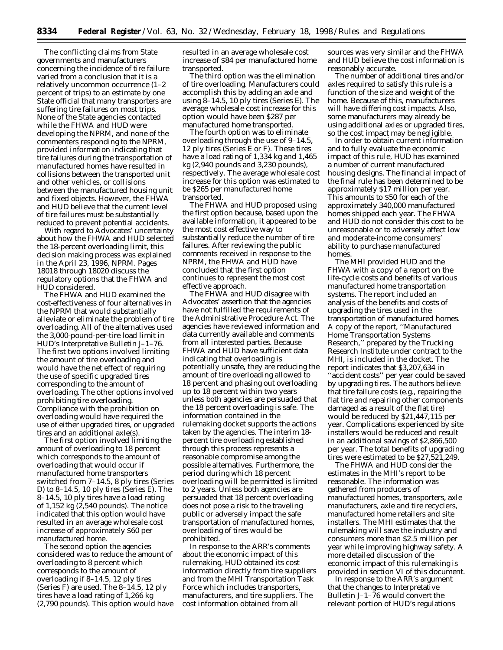The conflicting claims from State governments and manufacturers concerning the incidence of tire failure varied from a conclusion that it is a relatively uncommon occurrence (1–2 percent of trips) to an estimate by one State official that many transporters are suffering tire failures on most trips. None of the State agencies contacted while the FHWA and HUD were developing the NPRM, and none of the commenters responding to the NPRM, provided information indicating that tire failures during the transportation of manufactured homes have resulted in collisions between the transported unit and other vehicles, or collisions between the manufactured housing unit and fixed objects. However, the FHWA and HUD believe that the current level of tire failures must be substantially reduced to prevent potential accidents.

With regard to Advocates' uncertainty about how the FHWA and HUD selected the 18-percent overloading limit, this decision making process was explained in the April 23, 1996, NPRM. Pages 18018 through 18020 discuss the regulatory options that the FHWA and HUD considered.

The FHWA and HUD examined the cost-effectiveness of four alternatives in the NPRM that would substantially alleviate or eliminate the problem of tire overloading. All of the alternatives used the 3,000-pound-per-tire load limit in HUD's Interpretative Bulletin J–1–76. The first two options involved limiting the amount of tire overloading and would have the net effect of requiring the use of specific upgraded tires corresponding to the amount of overloading. The other options involved prohibiting tire overloading. Compliance with the prohibition on overloading would have required the use of either upgraded tires, or upgraded tires and an additional axle(s).

The first option involved limiting the amount of overloading to 18 percent which corresponds to the amount of overloading that would occur if manufactured home transporters switched from 7–14.5, 8 ply tires (Series D) to 8–14.5, 10 ply tires (Series E). The 8–14.5, 10 ply tires have a load rating of 1,152 kg (2,540 pounds). The notice indicated that this option would have resulted in an average wholesale cost increase of approximately \$60 per manufactured home.

The second option the agencies considered was to reduce the amount of overloading to 8 percent which corresponds to the amount of overloading if 8–14.5, 12 ply tires (Series F) are used. The 8–14.5, 12 ply tires have a load rating of 1,266 kg (2,790 pounds). This option would have resulted in an average wholesale cost increase of \$84 per manufactured home transported.

The third option was the elimination of tire overloading. Manufacturers could accomplish this by adding an axle and using 8–14.5, 10 ply tires (Series E). The average wholesale cost increase for this option would have been \$287 per manufactured home transported.

The fourth option was to eliminate overloading through the use of 9–14.5, 12 ply tires (Series E or F). These tires have a load rating of 1,334 kg and 1,465 kg (2,940 pounds and 3,230 pounds), respectively. The average wholesale cost increase for this option was estimated to be \$265 per manufactured home transported.

The FHWA and HUD proposed using the first option because, based upon the available information, it appeared to be the most cost effective way to substantially reduce the number of tire failures. After reviewing the public comments received in response to the NPRM, the FHWA and HUD have concluded that the first option continues to represent the most cost effective approach.

The FHWA and HUD disagree with Advocates' assertion that the agencies have not fulfilled the requirements of the Administrative Procedure Act. The agencies have reviewed information and data currently available and comments from all interested parties. Because FHWA and HUD have sufficient data indicating that overloading is potentially unsafe, they are reducing the amount of tire overloading allowed to 18 percent and phasing out overloading up to 18 percent within two years unless both agencies are persuaded that the 18 percent overloading is safe. The information contained in the rulemaking docket supports the actions taken by the agencies. The interim 18 percent tire overloading established through this process represents a reasonable compromise among the possible alternatives. Furthermore, the period during which 18 percent overloading will be permitted is limited to 2 years. Unless both agencies are persuaded that 18 percent overloading does not pose a risk to the traveling public or adversely impact the safe transportation of manufactured homes, overloading of tires would be prohibited.

In response to the ARR's comments about the economic impact of this rulemaking, HUD obtained its cost information directly from tire suppliers and from the MHI Transportation Task Force which includes transporters, manufacturers, and tire suppliers. The cost information obtained from all

sources was very similar and the FHWA and HUD believe the cost information is reasonably accurate.

The number of additional tires and/or axles required to satisfy this rule is a function of the size and weight of the home. Because of this, manufacturers will have differing cost impacts. Also, some manufacturers may already be using additional axles or upgraded tires, so the cost impact may be negligible.

In order to obtain current information and to fully evaluate the economic impact of this rule, HUD has examined a number of current manufactured housing designs. The financial impact of the final rule has been determined to be approximately \$17 million per year. This amounts to \$50 for each of the approximately 340,000 manufactured homes shipped each year. The FHWA and HUD do not consider this cost to be unreasonable or to adversely affect low and moderate-income consumers' ability to purchase manufactured homes.

The MHI provided HUD and the FHWA with a copy of a report on the life-cycle costs and benefits of various manufactured home transportation systems. The report included an analysis of the benefits and costs of upgrading the tires used in the transportation of manufactured homes. A copy of the report, ''Manufactured Home Transportation Systems Research,'' prepared by the Trucking Research Institute under contract to the MHI, is included in the docket. The report indicates that \$3,207,634 in ''accident costs'' per year could be saved by upgrading tires. The authors believe that tire failure costs (e.g., repairing the flat tire and repairing other components damaged as a result of the flat tire) would be reduced by \$21,447,115 per year. Complications experienced by site installers would be reduced and result in an additional savings of \$2,866,500 per year. The total benefits of upgrading tires were estimated to be \$27,521,249.

The FHWA and HUD consider the estimates in the MHI's report to be reasonable. The information was gathered from producers of manufactured homes, transporters, axle manufacturers, axle and tire recyclers, manufactured home retailers and site installers. The MHI estimates that the rulemaking will save the industry and consumers more than \$2.5 million per year while improving highway safety. A more detailed discussion of the economic impact of this rulemaking is provided in section VI of this document.

In response to the ARR's argument that the changes to Interpretative Bulletin J–1–76 would convert the relevant portion of HUD's regulations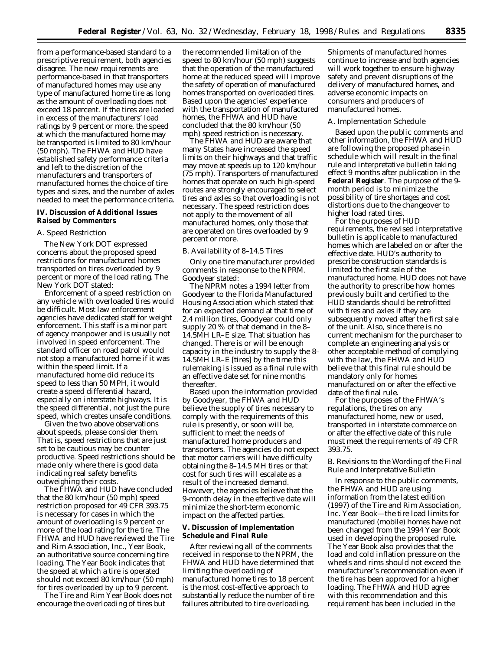from a performance-based standard to a prescriptive requirement, both agencies disagree. The new requirements are performance-based in that transporters of manufactured homes may use any type of manufactured home tire as long as the amount of overloading does not exceed 18 percent. If the tires are loaded in excess of the manufacturers' load ratings by 9 percent or more, the speed at which the manufactured home may be transported is limited to 80 km/hour (50 mph). The FHWA and HUD have established safety performance criteria and left to the discretion of the manufacturers and transporters of manufactured homes the choice of tire types and sizes, and the number of axles needed to meet the performance criteria.

# **IV. Discussion of Additional Issues Raised by Commenters**

#### *A. Speed Restriction*

The New York DOT expressed concerns about the proposed speed restrictions for manufactured homes transported on tires overloaded by 9 percent or more of the load rating. The New York DOT stated:

Enforcement of a speed restriction on any vehicle with overloaded tires would be difficult. Most law enforcement agencies have dedicated staff for weight enforcement. This staff is a minor part of agency manpower and is usually not involved in speed enforcement. The standard officer on road patrol would not stop a manufactured home if it was within the speed limit. If a manufactured home did reduce its speed to less than 50 MPH, it would create a speed differential hazard, especially on interstate highways. It is the speed differential, not just the pure speed, which creates unsafe conditions.

Given the two above observations about speeds, please consider them. That is, speed restrictions that are just set to be cautious may be counter productive. Speed restrictions should be made only where there is good data indicating real safety benefits outweighing their costs.

The FHWA and HUD have concluded that the 80 km/hour (50 mph) speed restriction proposed for 49 CFR 393.75 is necessary for cases in which the amount of overloading is 9 percent or more of the load rating for the tire. The FHWA and HUD have reviewed the Tire and Rim Association, Inc., Year Book, an authoritative source concerning tire loading. The Year Book indicates that the speed at which a tire is operated should not exceed 80 km/hour (50 mph) for tires overloaded by up to 9 percent.

The Tire and Rim Year Book does not encourage the overloading of tires but

the recommended limitation of the speed to 80 km/hour (50 mph) suggests that the operation of the manufactured home at the reduced speed will improve the safety of operation of manufactured homes transported on overloaded tires. Based upon the agencies' experience with the transportation of manufactured homes, the FHWA and HUD have concluded that the 80 km/hour (50 mph) speed restriction is necessary.

The FHWA and HUD are aware that many States have increased the speed limits on their highways and that traffic may move at speeds up to 120 km/hour (75 mph). Transporters of manufactured homes that operate on such high-speed routes are strongly encouraged to select tires and axles so that overloading is not necessary. The speed restriction does not apply to the movement of all manufactured homes, only those that are operated on tires overloaded by 9 percent or more.

#### *B. Availability of 8–14.5 Tires*

Only one tire manufacturer provided comments in response to the NPRM. Goodyear stated:

The NPRM notes a 1994 letter from Goodyear to the Florida Manufactured Housing Association which stated that for an expected demand at that time of 2.4 million tires, Goodyear could only supply 20 % of that demand in the 8– 14.5MH LR–E size. That situation has changed. There is or will be enough capacity in the industry to supply the 8– 14.5MH LR–E [tires] by the time this rulemaking is issued as a final rule with an effective date set for nine months thereafter.

Based upon the information provided by Goodyear, the FHWA and HUD believe the supply of tires necessary to comply with the requirements of this rule is presently, or soon will be, sufficient to meet the needs of manufactured home producers and transporters. The agencies do not expect that motor carriers will have difficulty obtaining the 8–14.5 MH tires or that cost for such tires will escalate as a result of the increased demand. However, the agencies believe that the 9-month delay in the effective date will minimize the short-term economic impact on the affected parties.

#### **V. Discussion of Implementation Schedule and Final Rule**

After reviewing all of the comments received in response to the NPRM, the FHWA and HUD have determined that limiting the overloading of manufactured home tires to 18 percent is the most cost-effective approach to substantially reduce the number of tire failures attributed to tire overloading.

Shipments of manufactured homes continue to increase and both agencies will work together to ensure highway safety and prevent disruptions of the delivery of manufactured homes, and adverse economic impacts on consumers and producers of manufactured homes.

#### *A. Implementation Schedule*

Based upon the public comments and other information, the FHWA and HUD are following the proposed phase-in schedule which will result in the final rule and interpretative bulletin taking effect 9 months after publication in the **Federal Register**. The purpose of the 9 month period is to minimize the possibility of tire shortages and cost distortions due to the changeover to higher load rated tires.

For the purposes of HUD requirements, the revised interpretative bulletin is applicable to manufactured homes which are labeled on or after the effective date. HUD's authority to prescribe construction standards is limited to the first sale of the manufactured home. HUD does not have the authority to prescribe how homes previously built and certified to the HUD standards should be retrofitted with tires and axles if they are subsequently moved after the first sale of the unit. Also, since there is no current mechanism for the purchaser to complete an engineering analysis or other acceptable method of complying with the law, the FHWA and HUD believe that this final rule should be mandatory only for homes manufactured on or after the effective date of the final rule.

For the purposes of the FHWA's regulations, the tires on any manufactured home, new or used, transported in interstate commerce on or after the effective date of this rule must meet the requirements of 49 CFR 393.75.

# *B. Revisions to the Wording of the Final Rule and Interpretative Bulletin*

In response to the public comments, the FHWA and HUD are using information from the latest edition (1997) of the Tire and Rim Association, Inc. Year Book—the tire load limits for manufactured (mobile) homes have not been changed from the 1994 Year Book used in developing the proposed rule. The Year Book also provides that the load and cold inflation pressure on the wheels and rims should not exceed the manufacturer's recommendation even if the tire has been approved for a higher loading. The FHWA and HUD agree with this recommendation and this requirement has been included in the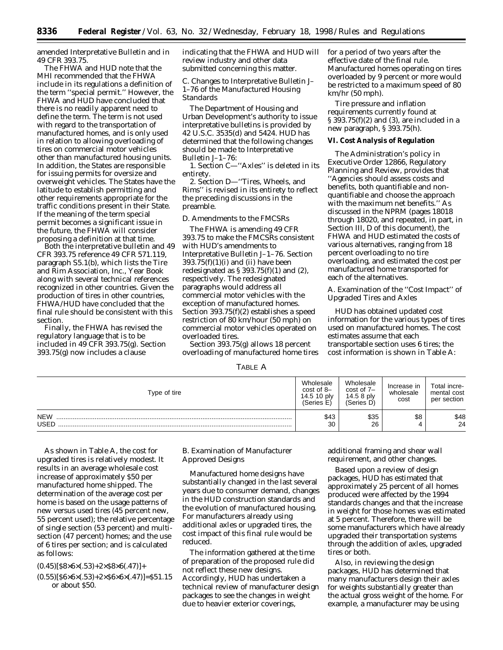amended Interpretative Bulletin and in 49 CFR 393.75.

The FHWA and HUD note that the MHI recommended that the FHWA include in its regulations a definition of the term ''special permit.'' However, the FHWA and HUD have concluded that there is no readily apparent need to define the term. The term is not used with regard to the transportation of manufactured homes, and is only used in relation to allowing overloading of tires on commercial motor vehicles other than manufactured housing units. In addition, the States are responsible for issuing permits for oversize and overweight vehicles. The States have the latitude to establish permitting and other requirements appropriate for the traffic conditions present in their State. If the meaning of the term special permit becomes a significant issue in the future, the FHWA will consider proposing a definition at that time.

Both the interpretative bulletin and 49 CFR 393.75 reference 49 CFR 571.119, paragraph S5.1(b), which lists the Tire and Rim Association, Inc., Year Book along with several technical references recognized in other countries. Given the production of tires in other countries, FHWA/HUD have concluded that the final rule should be consistent with this section.

Finally, the FHWA has revised the regulatory language that is to be included in 49 CFR 393.75(g). Section 393.75(g) now includes a clause

indicating that the FHWA and HUD will review industry and other data submitted concerning this matter.

## *C. Changes to Interpretative Bulletin J– 1–76 of the Manufactured Housing Standards*

The Department of Housing and Urban Development's authority to issue interpretative bulletins is provided by 42 U.S.C. 3535(d) and 5424. HUD has determined that the following changes should be made to Interpretative Bulletin J–1–76:

1. Section C—''Axles'' is deleted in its entirety.

2. Section D—''Tires, Wheels, and Rims'' is revised in its entirety to reflect the preceding discussions in the preamble.

#### *D. Amendments to the FMCSRs*

The FHWA is amending 49 CFR 393.75 to make the FMCSRs consistent with HUD's amendments to Interpretative Bulletin J–1–76. Section  $393.75(f)(1)(i)$  and (ii) have been redesignated as  $\S 393.75(f)(1)$  and  $(2)$ , respectively. The redesignated paragraphs would address all commercial motor vehicles with the exception of manufactured homes. Section 393.75(f)(2) establishes a speed restriction of 80 km/hour (50 mph) on commercial motor vehicles operated on overloaded tires.

Section 393.75(g) allows 18 percent overloading of manufactured home tires for a period of two years after the effective date of the final rule. Manufactured homes operating on tires overloaded by 9 percent or more would be restricted to a maximum speed of 80 km/hr (50 mph).

Tire pressure and inflation requirements currently found at § 393.75(f)(2) and (3), are included in a new paragraph, § 393.75(h).

## **VI. Cost Analysis of Regulation**

The Administration's policy in Executive Order 12866, Regulatory Planning and Review, provides that ''Agencies should assess costs and benefits, both quantifiable and nonquantifiable and choose the approach with the maximum net benefits.'' As discussed in the NPRM (pages 18018 through 18020, and repeated, in part, in Section III, D of this document), the FHWA and HUD estimated the costs of various alternatives, ranging from 18 percent overloading to no tire overloading, and estimated the cost per manufactured home transported for each of the alternatives.

### *A. Examination of the ''Cost Impact'' of Upgraded Tires and Axles*

HUD has obtained updated cost information for the various types of tires used on manufactured homes. The cost estimates assume that each transportable section uses 6 tires; the cost information is shown in Table A:

TABLE A

| Type of tire              | Wholesale<br>$cost of 8-$<br>14.5 10 ply<br>(Series E) | Wholesale<br>$cost of 7-$<br>14.5 8 plv<br>(Series D) | Increase in<br>wholesale<br>cost | Total incre-<br>mental cost<br>per section |
|---------------------------|--------------------------------------------------------|-------------------------------------------------------|----------------------------------|--------------------------------------------|
| <b>NEW</b><br><b>USED</b> | \$43<br>30                                             | \$35<br>26                                            | \$8                              | \$48<br>24                                 |

As shown in Table A, the cost for upgraded tires is relatively modest. It results in an average wholesale cost increase of approximately \$50 per manufactured home shipped. The determination of the average cost per home is based on the usage patterns of new versus used tires (45 percent new, 55 percent used); the relative percentage of single section (53 percent) and multisection (47 percent) homes; and the use of 6 tires per section; and is calculated as follows:

### $(0.45)[\$8\times6\times(.53)+2\times\$8\times6(.47)]+$

 $(0.55)[\$6\times6\times(.53)+2\times\$6\times6\times(.47)] = \$51.15$ or about \$50.

# *B. Examination of Manufacturer Approved Designs*

Manufactured home designs have substantially changed in the last several years due to consumer demand, changes in the HUD construction standards and the evolution of manufactured housing. For manufacturers already using additional axles or upgraded tires, the cost impact of this final rule would be reduced.

The information gathered at the time of preparation of the proposed rule did not reflect these new designs. Accordingly, HUD has undertaken a technical review of manufacturer design packages to see the changes in weight due to heavier exterior coverings,

additional framing and shear wall requirement, and other changes.

Based upon a review of design packages, HUD has estimated that approximately 25 percent of all homes produced were affected by the 1994 standards changes and that the increase in weight for those homes was estimated at 5 percent. Therefore, there will be some manufacturers which have already upgraded their transportation systems through the addition of axles, upgraded tires or both.

Also, in reviewing the design packages, HUD has determined that many manufacturers design their axles for weights substantially greater than the actual gross weight of the home. For example, a manufacturer may be using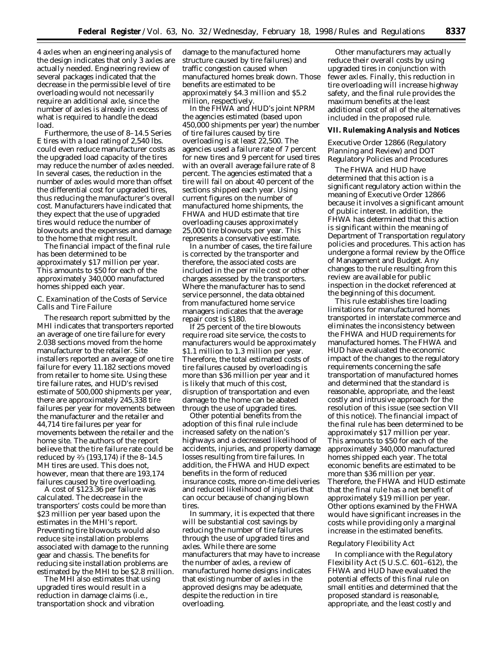4 axles when an engineering analysis of the design indicates that only 3 axles are actually needed. Engineering review of several packages indicated that the decrease in the permissible level of tire overloading would not necessarily require an additional axle, since the number of axles is already in excess of what is required to handle the dead load.

Furthermore, the use of 8–14.5 Series E tires with a load rating of 2,540 lbs. could even reduce manufacturer costs as the upgraded load capacity of the tires may reduce the number of axles needed. In several cases, the reduction in the number of axles would more than offset the differential cost for upgraded tires, thus reducing the manufacturer's overall cost. Manufacturers have indicated that they expect that the use of upgraded tires would reduce the number of blowouts and the expenses and damage to the home that might result.

The financial impact of the final rule has been determined to be approximately \$17 million per year. This amounts to \$50 for each of the approximately 340,000 manufactured homes shipped each year.

## *C. Examination of the Costs of Service Calls and Tire Failure*

The research report submitted by the MHI indicates that transporters reported an average of one tire failure for every 2.038 sections moved from the home manufacturer to the retailer. Site installers reported an average of one tire failure for every 11.182 sections moved from retailer to home site. Using these tire failure rates, and HUD's revised estimate of 500,000 shipments per year, there are approximately 245,338 tire failures per year for movements between the manufacturer and the retailer and 44,714 tire failures per year for movements between the retailer and the home site. The authors of the report believe that the tire failure rate could be reduced by 2⁄3 (193,174) if the 8–14.5 MH tires are used. This does not, however, mean that there are 193,174 failures caused by tire overloading.

A cost of \$123.36 per failure was calculated. The decrease in the transporters' costs could be more than \$23 million per year based upon the estimates in the MHI's report. Preventing tire blowouts would also reduce site installation problems associated with damage to the running gear and chassis. The benefits for reducing site installation problems are estimated by the MHI to be \$2.8 million.

The MHI also estimates that using upgraded tires would result in a reduction in damage claims (i.e., transportation shock and vibration

damage to the manufactured home structure caused by tire failures) and traffic congestion caused when manufactured homes break down. Those benefits are estimated to be approximately \$4.3 million and \$5.2 million, respectively.

In the FHWA and HUD's joint NPRM the agencies estimated (based upon 450,000 shipments per year) the number of tire failures caused by tire overloading is at least 22,500. The agencies used a failure rate of 7 percent for new tires and 9 percent for used tires with an overall average failure rate of 8 percent. The agencies estimated that a tire will fail on about 40 percent of the sections shipped each year. Using current figures on the number of manufactured home shipments, the FHWA and HUD estimate that tire overloading causes approximately 25,000 tire blowouts per year. This represents a conservative estimate.

In a number of cases, the tire failure is corrected by the transporter and therefore, the associated costs are included in the per mile cost or other charges assessed by the transporters. Where the manufacturer has to send service personnel, the data obtained from manufactured home service managers indicates that the average repair cost is \$180.

If 25 percent of the tire blowouts require road site service, the costs to manufacturers would be approximately \$1.1 million to 1.3 million per year. Therefore, the total estimated costs of tire failures caused by overloading is more than \$36 million per year and it is likely that much of this cost, disruption of transportation and even damage to the home can be abated through the use of upgraded tires.

Other potential benefits from the adoption of this final rule include increased safety on the nation's highways and a decreased likelihood of accidents, injuries, and property damage losses resulting from tire failures. In addition, the FHWA and HUD expect benefits in the form of reduced insurance costs, more on-time deliveries and reduced likelihood of injuries that can occur because of changing blown tires.

In summary, it is expected that there will be substantial cost savings by reducing the number of tire failures through the use of upgraded tires and axles. While there are some manufacturers that may have to increase the number of axles, a review of manufactured home designs indicates that existing number of axles in the approved designs may be adequate, despite the reduction in tire overloading.

Other manufacturers may actually reduce their overall costs by using upgraded tires in conjunction with fewer axles. Finally, this reduction in tire overloading will increase highway safety, and the final rule provides the maximum benefits at the least additional cost of all of the alternatives included in the proposed rule.

# **VII. Rulemaking Analysis and Notices**

## *Executive Order 12866 (Regulatory Planning and Review) and DOT Regulatory Policies and Procedures*

The FHWA and HUD have determined that this action is a significant regulatory action within the meaning of Executive Order 12866 because it involves a significant amount of public interest. In addition, the FHWA has determined that this action is significant within the meaning of Department of Transportation regulatory policies and procedures. This action has undergone a formal review by the Office of Management and Budget. Any changes to the rule resulting from this review are available for public inspection in the docket referenced at the beginning of this document.

This rule establishes tire loading limitations for manufactured homes transported in interstate commerce and eliminates the inconsistency between the FHWA and HUD requirements for manufactured homes. The FHWA and HUD have evaluated the economic impact of the changes to the regulatory requirements concerning the safe transportation of manufactured homes and determined that the standard is reasonable, appropriate, and the least costly and intrusive approach for the resolution of this issue (see section VII of this notice). The financial impact of the final rule has been determined to be approximately \$17 million per year. This amounts to \$50 for each of the approximately 340,000 manufactured homes shipped each year. The total economic benefits are estimated to be more than \$36 million per year. Therefore, the FHWA and HUD estimate that the final rule has a net benefit of approximately \$19 million per year. Other options examined by the FHWA would have significant increases in the costs while providing only a marginal increase in the estimated benefits.

#### *Regulatory Flexibility Act*

In compliance with the Regulatory Flexibility Act (5 U.S.C. 601–612), the FHWA and HUD have evaluated the potential effects of this final rule on small entities and determined that the proposed standard is reasonable, appropriate, and the least costly and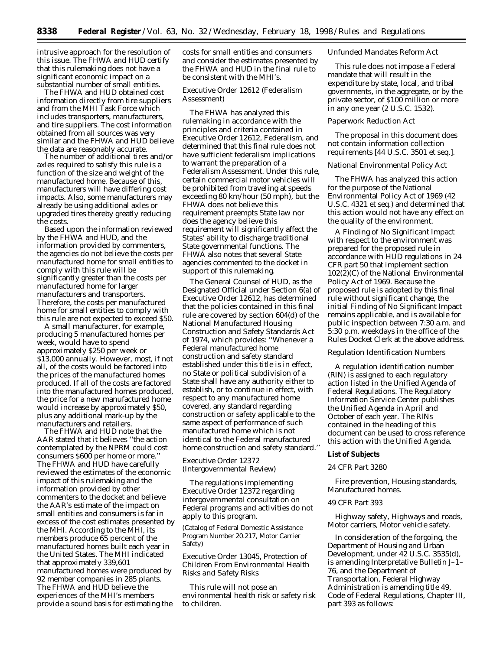intrusive approach for the resolution of this issue. The FHWA and HUD certify that this rulemaking does not have a significant economic impact on a substantial number of small entities.

The FHWA and HUD obtained cost information directly from tire suppliers and from the MHI Task Force which includes transporters, manufacturers, and tire suppliers. The cost information obtained from all sources was very similar and the FHWA and HUD believe the data are reasonably accurate.

The number of additional tires and/or axles required to satisfy this rule is a function of the size and weight of the manufactured home. Because of this, manufacturers will have differing cost impacts. Also, some manufacturers may already be using additional axles or upgraded tires thereby greatly reducing the costs.

Based upon the information reviewed by the FHWA and HUD, and the information provided by commenters, the agencies do not believe the costs per manufactured home for small entities to comply with this rule will be significantly greater than the costs per manufactured home for larger manufacturers and transporters. Therefore, the costs per manufactured home for small entities to comply with this rule are not expected to exceed \$50.

A small manufacturer, for example, producing 5 manufactured homes per week, would have to spend approximately \$250 per week or \$13,000 annually. However, most, if not all, of the costs would be factored into the prices of the manufactured homes produced. If all of the costs are factored into the manufactured homes produced, the price for a new manufactured home would increase by approximately \$50, plus any additional mark-up by the manufacturers and retailers.

The FHWA and HUD note that the AAR stated that it believes ''the action contemplated by the NPRM could cost consumers \$600 per home or more.'' The FHWA and HUD have carefully reviewed the estimates of the economic impact of this rulemaking and the information provided by other commenters to the docket and believe the AAR's estimate of the impact on small entities and consumers is far in excess of the cost estimates presented by the MHI. According to the MHI, its members produce 65 percent of the manufactured homes built each year in the United States. The MHI indicated that approximately 339,601 manufactured homes were produced by 92 member companies in 285 plants. The FHWA and HUD believe the experiences of the MHI's members provide a sound basis for estimating the

costs for small entities and consumers and consider the estimates presented by the FHWA and HUD in the final rule to be consistent with the MHI's.

## *Executive Order 12612 (Federalism Assessment)*

The FHWA has analyzed this rulemaking in accordance with the principles and criteria contained in Executive Order 12612, Federalism, and determined that this final rule does not have sufficient federalism implications to warrant the preparation of a Federalism Assessment. Under this rule, certain commercial motor vehicles will be prohibited from traveling at speeds exceeding 80 km/hour (50 mph), but the FHWA does not believe this requirement preempts State law nor does the agency believe this requirement will significantly affect the States' ability to discharge traditional State governmental functions. The FHWA also notes that several State agencies commented to the docket in support of this rulemaking.

The General Counsel of HUD, as the Designated Official under Section 6(a) of Executive Order 12612, has determined that the policies contained in this final rule are covered by section 604(d) of the National Manufactured Housing Construction and Safety Standards Act of 1974, which provides: ''Whenever a Federal manufactured home construction and safety standard established under this title is in effect, no State or political subdivision of a State shall have any authority either to establish, or to continue in effect, with respect to any manufactured home covered, any standard regarding construction or safety applicable to the same aspect of performance of such manufactured home which is not identical to the Federal manufactured home construction and safety standard.''

## *Executive Order 12372 (Intergovernmental Review)*

The regulations implementing Executive Order 12372 regarding intergovernmental consultation on Federal programs and activities do not apply to this program.

(Catalog of Federal Domestic Assistance Program Number 20.217, Motor Carrier Safety)

## *Executive Order 13045, Protection of Children From Environmental Health Risks and Safety Risks*

This rule will not pose an environmental health risk or safety risk to children.

#### *Unfunded Mandates Reform Act*

This rule does not impose a Federal mandate that will result in the expenditure by state, local, and tribal governments, in the aggregate, or by the private sector, of \$100 million or more in any one year (2 U.S.C. 1532).

## *Paperwork Reduction Act*

The proposal in this document does not contain information collection requirements [44 U.S.C. 3501 *et seq.*].

### *National Environmental Policy Act*

The FHWA has analyzed this action for the purpose of the National Environmental Policy Act of 1969 (42 U.S.C. 4321 *et seq.*) and determined that this action would not have any effect on the quality of the environment.

A Finding of No Significant Impact with respect to the environment was prepared for the proposed rule in accordance with HUD regulations in 24 CFR part 50 that implement section 102(2)(C) of the National Environmental Policy Act of 1969. Because the proposed rule is adopted by this final rule without significant change, the initial Finding of No Significant Impact remains applicable, and is available for public inspection between 7:30 a.m. and 5:30 p.m. weekdays in the office of the Rules Docket Clerk at the above address.

## *Regulation Identification Numbers*

A regulation identification number (RIN) is assigned to each regulatory action listed in the Unified Agenda of Federal Regulations. The Regulatory Information Service Center publishes the Unified Agenda in April and October of each year. The RINs contained in the heading of this document can be used to cross reference this action with the Unified Agenda.

#### **List of Subjects**

#### *24 CFR Part 3280*

Fire prevention, Housing standards, Manufactured homes.

#### *49 CFR Part 393*

Highway safety, Highways and roads, Motor carriers, Motor vehicle safety.

In consideration of the forgoing, the Department of Housing and Urban Development, under 42 U.S.C. 3535(d), is amending Interpretative Bulletin J–1– 76, and the Department of Transportation, Federal Highway Administration is amending title 49, Code of Federal Regulations, Chapter III, part 393 as follows: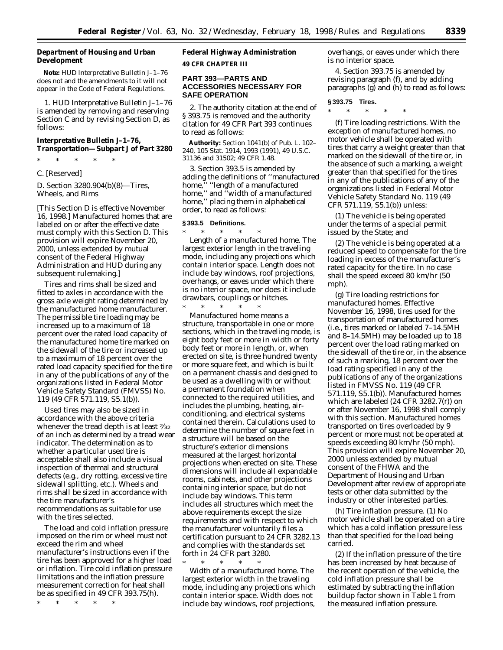# **Department of Housing and Urban Development**

**Note:** HUD Interpretative Bulletin J–1–76 does not and the amendments to it will not appear in the Code of Federal Regulations.

1. HUD Interpretative Bulletin J–1–76 is amended by removing and reserving Section C and by revising Section D, as follows:

# **Interpretative Bulletin J–1–76, Transportation—Subpart J of Part 3280**

C. [Reserved]

\* \* \* \* \*

D. Section 3280.904(b)(8)—Tires, Wheels, and Rims

[This Section D is effective November 16, 1998.] Manufactured homes that are labeled on or after the effective date must comply with this Section D. This provision will expire November 20, 2000, unless extended by mutual consent of the Federal Highway Administration and HUD during any subsequent rulemaking.]

Tires and rims shall be sized and fitted to axles in accordance with the gross axle weight rating determined by the manufactured home manufacturer. The permissible tire loading may be increased up to a maximum of 18 percent over the rated load capacity of the manufactured home tire marked on the sidewall of the tire or increased up to a maximum of 18 percent over the rated load capacity specified for the tire in any of the publications of any of the organizations listed in Federal Motor Vehicle Safety Standard (FMVSS) No. 119 (49 CFR 571.119, S5.1(b)).

Used tires may also be sized in accordance with the above criteria whenever the tread depth is at least  $\frac{2}{32}$ of an inch as determined by a tread wear indicator. The determination as to whether a particular used tire is acceptable shall also include a visual inspection of thermal and structural defects (e.g., dry rotting, excessive tire sidewall splitting, etc.). Wheels and rims shall be sized in accordance with the tire manufacturer's recommendations as suitable for use with the tires selected.

The load and cold inflation pressure imposed on the rim or wheel must not exceed the rim and wheel manufacturer's instructions even if the tire has been approved for a higher load or inflation. Tire cold inflation pressure limitations and the inflation pressure measurement correction for heat shall be as specified in 49 CFR 393.75(h).

\* \* \* \* \*

# **Federal Highway Administration 49 CFR CHAPTER III**

# **PART 393—PARTS AND ACCESSORIES NECESSARY FOR SAFE OPERATION**

2. The authority citation at the end of § 393.75 is removed and the authority citation for 49 CFR Part 393 continues to read as follows:

**Authority:** Section 1041(b) of Pub. L. 102– 240, 105 Stat. 1914, 1993 (1991), 49 U.S.C. 31136 and 31502; 49 CFR 1.48.

3. Section 393.5 is amended by adding the definitions of ''manufactured home,'' ''length of a manufactured home,'' and ''width of a manufactured home,'' placing them in alphabetical order, to read as follows:

# **§ 393.5 Definitions.**

\* \* \* \* \* *Length of a manufactured home.* The largest exterior length in the traveling mode, including any projections which contain interior space. Length does not include bay windows, roof projections, overhangs, or eaves under which there is no interior space, nor does it include drawbars, couplings or hitches.

\* \* \* \* \* *Manufactured home* means a structure, transportable in one or more sections, which in the traveling mode, is eight body feet or more in width or forty body feet or more in length, or, when erected on site, is three hundred twenty or more square feet, and which is built on a permanent chassis and designed to be used as a dwelling with or without a permanent foundation when connected to the required utilities, and includes the plumbing, heating, airconditioning, and electrical systems contained therein. Calculations used to determine the number of square feet in a structure will be based on the structure's exterior dimensions measured at the largest horizontal projections when erected on site. These dimensions will include all expandable rooms, cabinets, and other projections containing interior space, but do not include bay windows. This term includes all structures which meet the *above* requirements except the size requirements and with respect to which the manufacturer voluntarily files a certification pursuant to 24 CFR 3282.13 and complies with the standards set forth in 24 CFR part 3280.

\* \* \* \* \* *Width of a manufactured home.* The largest exterior width in the traveling

mode, including any projections which contain interior space. Width does not include bay windows, roof projections,

overhangs, or eaves under which there is no interior space.

4. Section 393.75 is amended by revising paragraph (f), and by adding paragraphs (g) and (h) to read as follows:

#### **§ 393.75 Tires.**

\* \* \* \* \*

(f) *Tire loading restrictions.* With the exception of manufactured homes, no motor vehicle shall be operated with tires that carry a weight greater than that marked on the sidewall of the tire or, in the absence of such a marking, a weight greater than that specified for the tires in any of the publications of any of the organizations listed in Federal Motor Vehicle Safety Standard No. 119 (49 CFR 571.119, S5.1(b)) unless:

(1) The vehicle is being operated under the terms of a special permit issued by the State; and

(2) The vehicle is being operated at a reduced speed to compensate for the tire loading in excess of the manufacturer's rated capacity for the tire. In no case shall the speed exceed 80 km/hr (50 mph).

(g) *Tire loading restrictions for manufactured homes.* Effective November 16, 1998, tires used for the transportation of manufactured homes (i.e., tires marked or labeled 7–14.5MH and 8–14.5MH) may be loaded up to 18 percent over the load rating marked on the sidewall of the tire or, in the absence of such a marking, 18 percent over the load rating specified in any of the publications of any of the organizations listed in FMVSS No. 119 (49 CFR 571.119, S5.1(b)). Manufactured homes which are labeled (24 CFR 3282.7(r)) on or after November 16, 1998 shall comply with this section. Manufactured homes transported on tires overloaded by 9 percent or more must not be operated at speeds exceeding 80 km/hr (50 mph). This provision will expire November 20, 2000 unless extended by mutual consent of the FHWA and the Department of Housing and Urban Development after review of appropriate tests or other data submitted by the industry or other interested parties.

(h) *Tire inflation pressure.* (1) No motor vehicle shall be operated on a tire which has a cold inflation pressure less than that specified for the load being carried.

(2) If the inflation pressure of the tire has been increased by heat because of the recent operation of the vehicle, the cold inflation pressure shall be estimated by subtracting the inflation buildup factor shown in Table 1 from the measured inflation pressure.